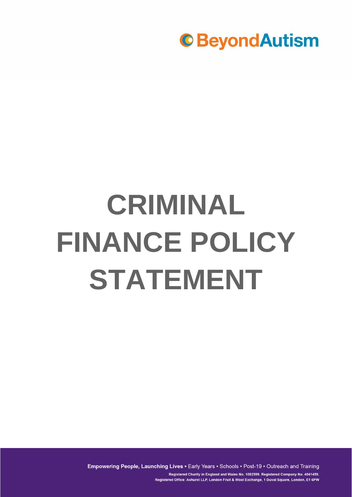

# **CRIMINAL FINANCE POLICY STATEMENT**

Empowering People, Launching Lives . Early Years . Schools . Post-19 . Outreach and Training Registered Charity in England and Wales No. 1082599. Registered Company No. 4041459. Registered Office: Ashurst LLP, London Fruit & Wool Exchange, 1 Duval Square, London, E1 6PW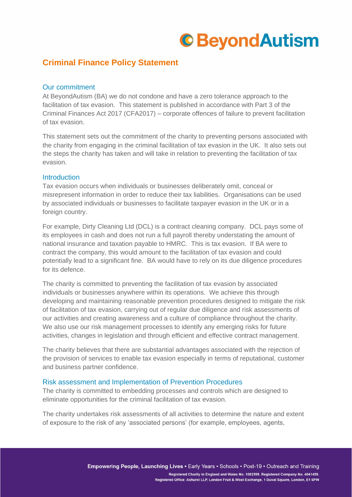

# **Criminal Finance Policy Statement**

#### Our commitment

At BeyondAutism (BA) we do not condone and have a zero tolerance approach to the facilitation of tax evasion. This statement is published in accordance with Part 3 of the Criminal Finances Act 2017 (CFA2017) – corporate offences of failure to prevent facilitation of tax evasion.

This statement sets out the commitment of the charity to preventing persons associated with the charity from engaging in the criminal facilitation of tax evasion in the UK. It also sets out the steps the charity has taken and will take in relation to preventing the facilitation of tax evasion.

#### **Introduction**

Tax evasion occurs when individuals or businesses deliberately omit, conceal or misrepresent information in order to reduce their tax liabilities. Organisations can be used by associated individuals or businesses to facilitate taxpayer evasion in the UK or in a foreign country.

For example, Dirty Cleaning Ltd (DCL) is a contract cleaning company. DCL pays some of its employees in cash and does not run a full payroll thereby understating the amount of national insurance and taxation payable to HMRC. This is tax evasion. If BA were to contract the company, this would amount to the facilitation of tax evasion and could potentially lead to a significant fine. BA would have to rely on its due diligence procedures for its defence.

The charity is committed to preventing the facilitation of tax evasion by associated individuals or businesses anywhere within its operations. We achieve this through developing and maintaining reasonable prevention procedures designed to mitigate the risk of facilitation of tax evasion, carrying out of regular due diligence and risk assessments of our activities and creating awareness and a culture of compliance throughout the charity. We also use our risk management processes to identify any emerging risks for future activities, changes in legislation and through efficient and effective contract management.

The charity believes that there are substantial advantages associated with the rejection of the provision of services to enable tax evasion especially in terms of reputational, customer and business partner confidence.

#### Risk assessment and Implementation of Prevention Procedures

The charity is committed to embedding processes and controls which are designed to eliminate opportunities for the criminal facilitation of tax evasion.

The charity undertakes risk assessments of all activities to determine the nature and extent of exposure to the risk of any 'associated persons' (for example, employees, agents,